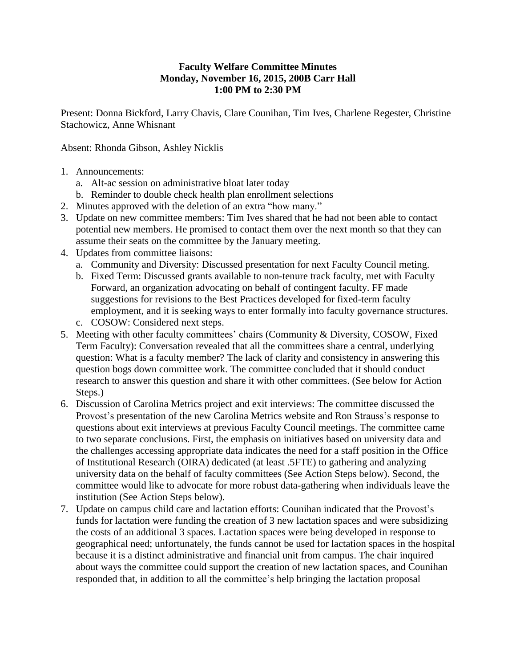## **Faculty Welfare Committee Minutes Monday, November 16, 2015, 200B Carr Hall 1:00 PM to 2:30 PM**

Present: Donna Bickford, Larry Chavis, Clare Counihan, Tim Ives, Charlene Regester, Christine Stachowicz, Anne Whisnant

Absent: Rhonda Gibson, Ashley Nicklis

- 1. Announcements:
	- a. Alt-ac session on administrative bloat later today
	- b. Reminder to double check health plan enrollment selections
- 2. Minutes approved with the deletion of an extra "how many."
- 3. Update on new committee members: Tim Ives shared that he had not been able to contact potential new members. He promised to contact them over the next month so that they can assume their seats on the committee by the January meeting.
- 4. Updates from committee liaisons:
	- a. Community and Diversity: Discussed presentation for next Faculty Council meting.
	- b. Fixed Term: Discussed grants available to non-tenure track faculty, met with Faculty Forward, an organization advocating on behalf of contingent faculty. FF made suggestions for revisions to the Best Practices developed for fixed-term faculty employment, and it is seeking ways to enter formally into faculty governance structures.
	- c. COSOW: Considered next steps.
- 5. Meeting with other faculty committees' chairs (Community & Diversity, COSOW, Fixed Term Faculty): Conversation revealed that all the committees share a central, underlying question: What is a faculty member? The lack of clarity and consistency in answering this question bogs down committee work. The committee concluded that it should conduct research to answer this question and share it with other committees. (See below for Action Steps.)
- 6. Discussion of Carolina Metrics project and exit interviews: The committee discussed the Provost's presentation of the new Carolina Metrics website and Ron Strauss's response to questions about exit interviews at previous Faculty Council meetings. The committee came to two separate conclusions. First, the emphasis on initiatives based on university data and the challenges accessing appropriate data indicates the need for a staff position in the Office of Institutional Research (OIRA) dedicated (at least .5FTE) to gathering and analyzing university data on the behalf of faculty committees (See Action Steps below). Second, the committee would like to advocate for more robust data-gathering when individuals leave the institution (See Action Steps below).
- 7. Update on campus child care and lactation efforts: Counihan indicated that the Provost's funds for lactation were funding the creation of 3 new lactation spaces and were subsidizing the costs of an additional 3 spaces. Lactation spaces were being developed in response to geographical need; unfortunately, the funds cannot be used for lactation spaces in the hospital because it is a distinct administrative and financial unit from campus. The chair inquired about ways the committee could support the creation of new lactation spaces, and Counihan responded that, in addition to all the committee's help bringing the lactation proposal